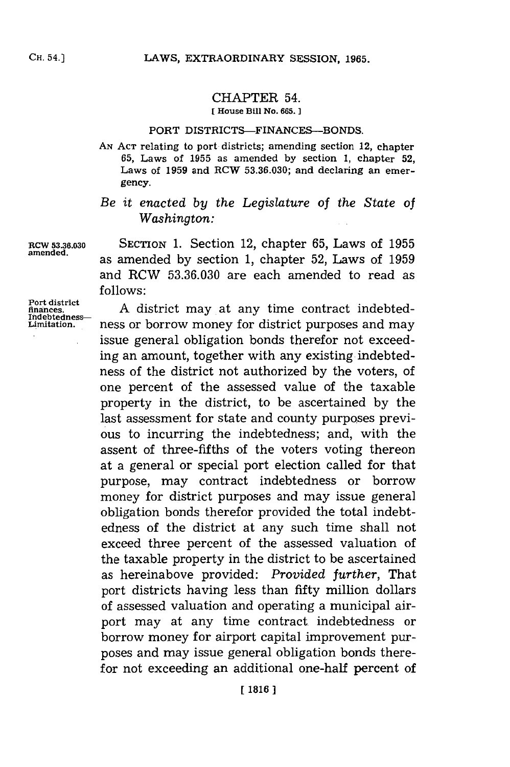## CHAPTER 54.

**[ House Bill No. 665.**

## **PORT DISTRICTS-FINANCES-BONDS.**

**AN. ACT relating to port districts; amending section 12, chapter 65, Laws of 1955 as amended by section 1, chapter 52, Laws of 1959 and RCW 53.36.030; and declaring an emergency.**

## *Be it enacted by the Legislature of the State of Washington:*

**RCW 53.36.030 SECTION 1.** Section 12, chapter **65,** Laws of **1955** amened. as amended **by** section **1,** chapter **52,** Laws of **1959** and RCW **53.36.030** are each amended to read as **follows:**

> **A** district may at any time contract indebtedness or borrow money for district purposes and may issue general obligation bonds therefor not exceeding an amount, together with any existing indebtedness of the district not authorized **by** the voters, of one percent of the assessed value of the taxable property in the district, to be ascertained **by** the last assessment for state and county purposes previous to incurring the indebtedness; and, with the assent of three-fifths of the voters voting thereon at a general or special port election called for that purpose, may contract indebtedness or borrow money for district purposes and may issue general obligation bonds therefor provided the total indebtedness of the district at any such time shall not exceed three percent of the assessed valuation of the taxable property in the district to be ascertained as hereinabove provided: *Provided further,* That port districts having less than fifty million dollars of assessed valuation and operating a municipal airport may at any time contract. indebtedness or borrow money for airport capital improvement purposes and may issue general obligation bonds therefor not exceeding an additional one-half percent of

**Port district finances. Indebtedness-Limitation.**

**CH.** 54.)